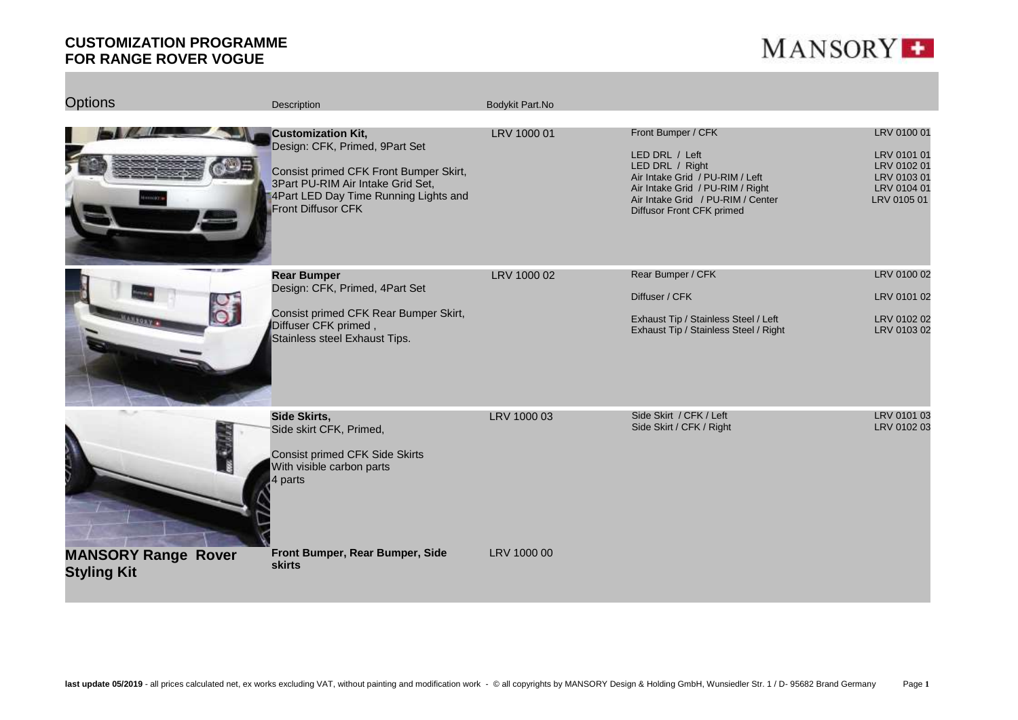

| <b>Options</b>                                   | <b>Description</b>                                                                                                                                                                                        | Bodykit Part.No |                                                                                                                                                                                                  |                                                                                        |
|--------------------------------------------------|-----------------------------------------------------------------------------------------------------------------------------------------------------------------------------------------------------------|-----------------|--------------------------------------------------------------------------------------------------------------------------------------------------------------------------------------------------|----------------------------------------------------------------------------------------|
|                                                  | <b>Customization Kit,</b><br>Design: CFK, Primed, 9Part Set<br>Consist primed CFK Front Bumper Skirt,<br>3Part PU-RIM Air Intake Grid Set,<br>4Part LED Day Time Running Lights and<br>Front Diffusor CFK | LRV 1000 01     | Front Bumper / CFK<br>LED DRL / Left<br>LED DRL / Right<br>Air Intake Grid / PU-RIM / Left<br>Air Intake Grid / PU-RIM / Right<br>Air Intake Grid / PU-RIM / Center<br>Diffusor Front CFK primed | LRV 0100 01<br>LRV 0101 01<br>LRV 0102 01<br>LRV 0103 01<br>LRV 0104 01<br>LRV 0105 01 |
| <b>Riggy</b> .                                   | <b>Rear Bumper</b><br>Design: CFK, Primed, 4Part Set<br>Consist primed CFK Rear Bumper Skirt,<br>Diffuser CFK primed,<br>Stainless steel Exhaust Tips.                                                    | LRV 1000 02     | Rear Bumper / CFK<br>Diffuser / CFK<br>Exhaust Tip / Stainless Steel / Left<br>Exhaust Tip / Stainless Steel / Right                                                                             | LRV 0100 02<br>LRV 0101 02<br>LRV 0102 02<br>LRV 0103 02                               |
|                                                  | Side Skirts,<br>Side skirt CFK, Primed,<br><b>Consist primed CFK Side Skirts</b><br>With visible carbon parts<br>4 parts                                                                                  | LRV 1000 03     | Side Skirt / CFK / Left<br>Side Skirt / CFK / Right                                                                                                                                              | LRV 0101 03<br>LRV 0102 03                                                             |
| <b>MANSORY Range Rover</b><br><b>Styling Kit</b> | Front Bumper, Rear Bumper, Side<br><b>skirts</b>                                                                                                                                                          | LRV 1000 00     |                                                                                                                                                                                                  |                                                                                        |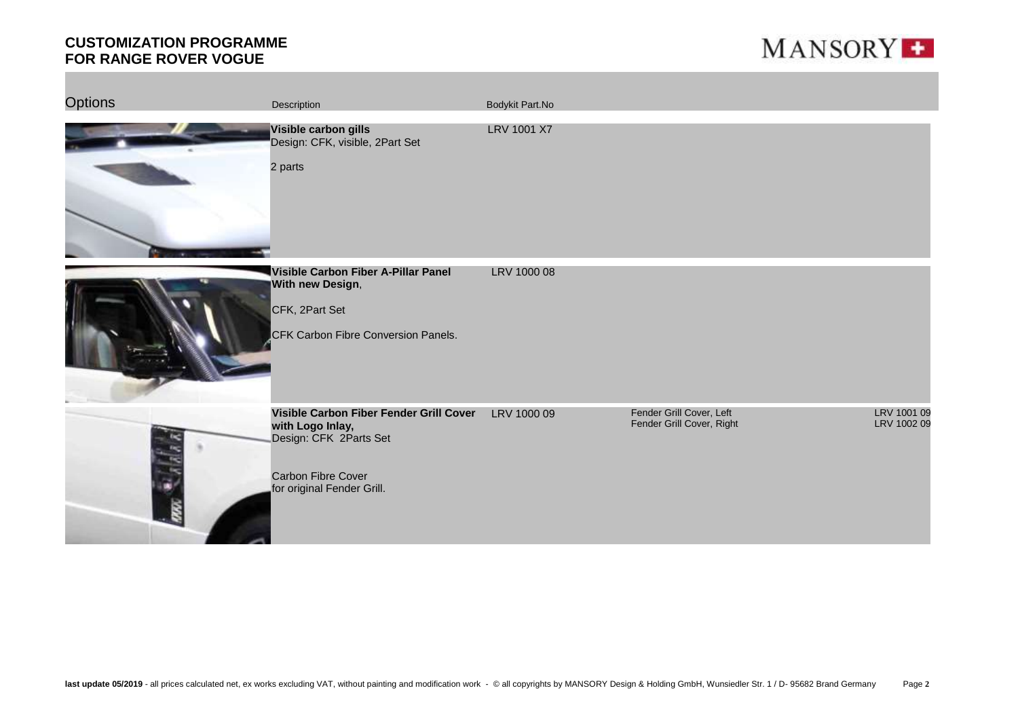

| <b>Options</b> | Description                                                                                                                               | Bodykit Part.No |                                                       |                            |
|----------------|-------------------------------------------------------------------------------------------------------------------------------------------|-----------------|-------------------------------------------------------|----------------------------|
|                | Visible carbon gills<br>Design: CFK, visible, 2Part Set<br>2 parts                                                                        | LRV 1001 X7     |                                                       |                            |
|                | Visible Carbon Fiber A-Pillar Panel<br>With new Design,<br>CFK, 2Part Set<br>CFK Carbon Fibre Conversion Panels.                          | LRV 1000 08     |                                                       |                            |
|                | Visible Carbon Fiber Fender Grill Cover<br>with Logo Inlay,<br>Design: CFK 2Parts Set<br>Carbon Fibre Cover<br>for original Fender Grill. | LRV 1000 09     | Fender Grill Cover, Left<br>Fender Grill Cover, Right | LRV 1001 09<br>LRV 1002 09 |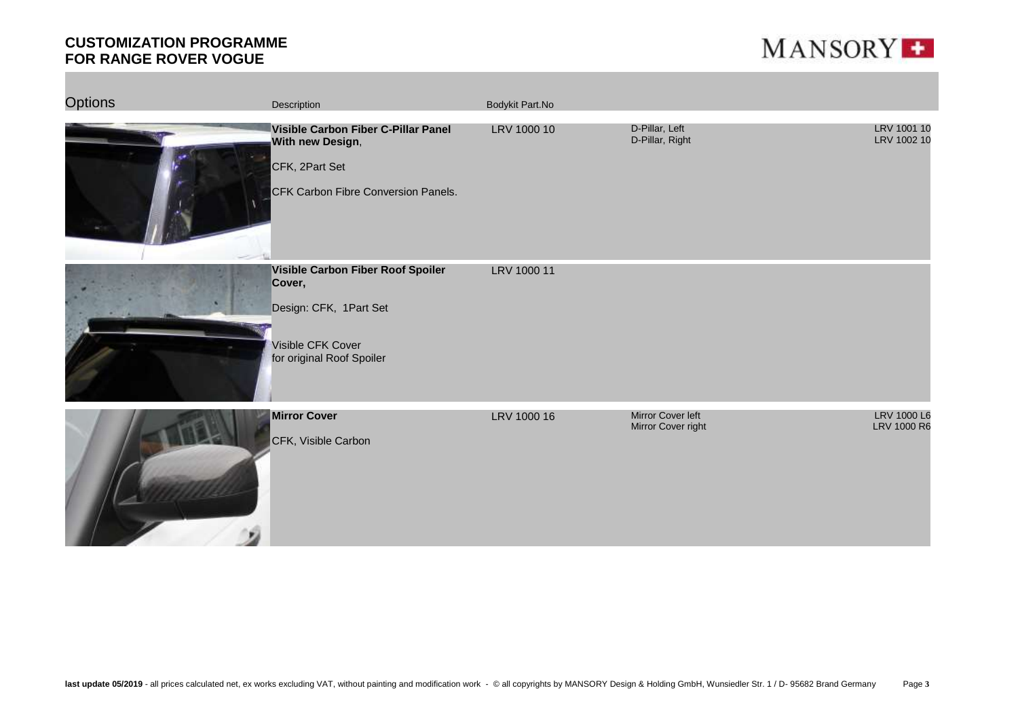

| <b>Options</b> | Description                                                                                                             | Bodykit Part.No |                                         |                            |
|----------------|-------------------------------------------------------------------------------------------------------------------------|-----------------|-----------------------------------------|----------------------------|
|                | Visible Carbon Fiber C-Pillar Panel<br>With new Design,<br>CFK, 2Part Set<br>CFK Carbon Fibre Conversion Panels.        | LRV 1000 10     | D-Pillar, Left<br>D-Pillar, Right       | LRV 1001 10<br>LRV 1002 10 |
|                | Visible Carbon Fiber Roof Spoiler<br>Cover,<br>Design: CFK, 1Part Set<br>Visible CFK Cover<br>for original Roof Spoiler | LRV 1000 11     |                                         |                            |
|                | <b>Mirror Cover</b><br>CFK, Visible Carbon                                                                              | LRV 1000 16     | Mirror Cover left<br>Mirror Cover right | LRV 1000 L6<br>LRV 1000 R6 |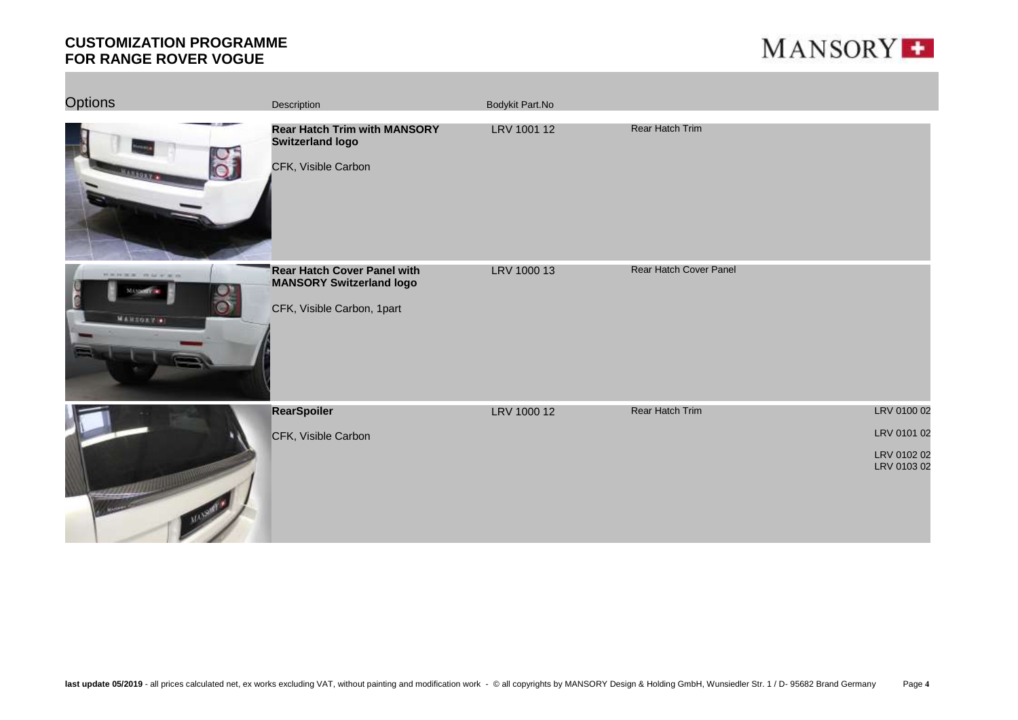

| <b>Options</b>                  | Description                                                                                  | Bodykit Part.No |                        |                                                          |
|---------------------------------|----------------------------------------------------------------------------------------------|-----------------|------------------------|----------------------------------------------------------|
| <b>ARROXY &amp;</b>             | <b>Rear Hatch Trim with MANSORY</b><br><b>Switzerland logo</b><br>CFK, Visible Carbon        | LRV 1001 12     | Rear Hatch Trim        |                                                          |
| <b>HANKK HOUSE</b><br>MANZO 750 | Rear Hatch Cover Panel with<br><b>MANSORY Switzerland logo</b><br>CFK, Visible Carbon, 1part | LRV 1000 13     | Rear Hatch Cover Panel |                                                          |
|                                 | <b>RearSpoiler</b><br>CFK, Visible Carbon                                                    | LRV 1000 12     | <b>Rear Hatch Trim</b> | LRV 0100 02<br>LRV 0101 02<br>LRV 0102 02<br>LRV 0103 02 |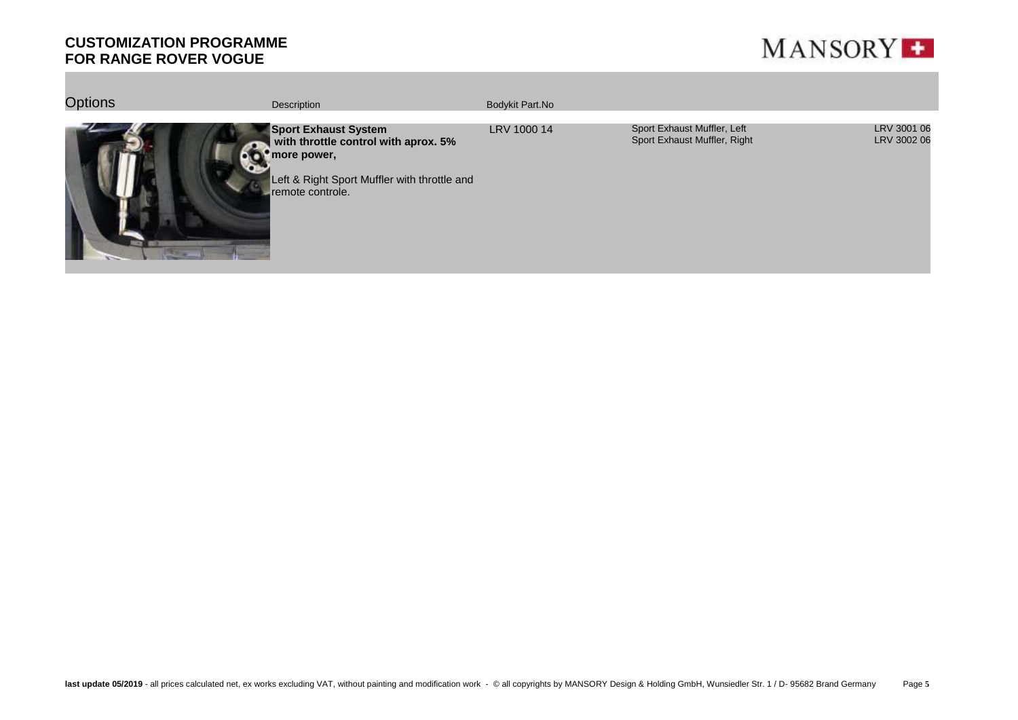

| <b>Options</b> | Description                                                                                                                                            | Bodykit Part.No |                                                             |                            |
|----------------|--------------------------------------------------------------------------------------------------------------------------------------------------------|-----------------|-------------------------------------------------------------|----------------------------|
|                | <b>Sport Exhaust System</b><br>with throttle control with aprox. 5%<br>more power,<br>Left & Right Sport Muffler with throttle and<br>remote controle. | LRV 1000 14     | Sport Exhaust Muffler, Left<br>Sport Exhaust Muffler, Right | LRV 3001 06<br>LRV 3002 06 |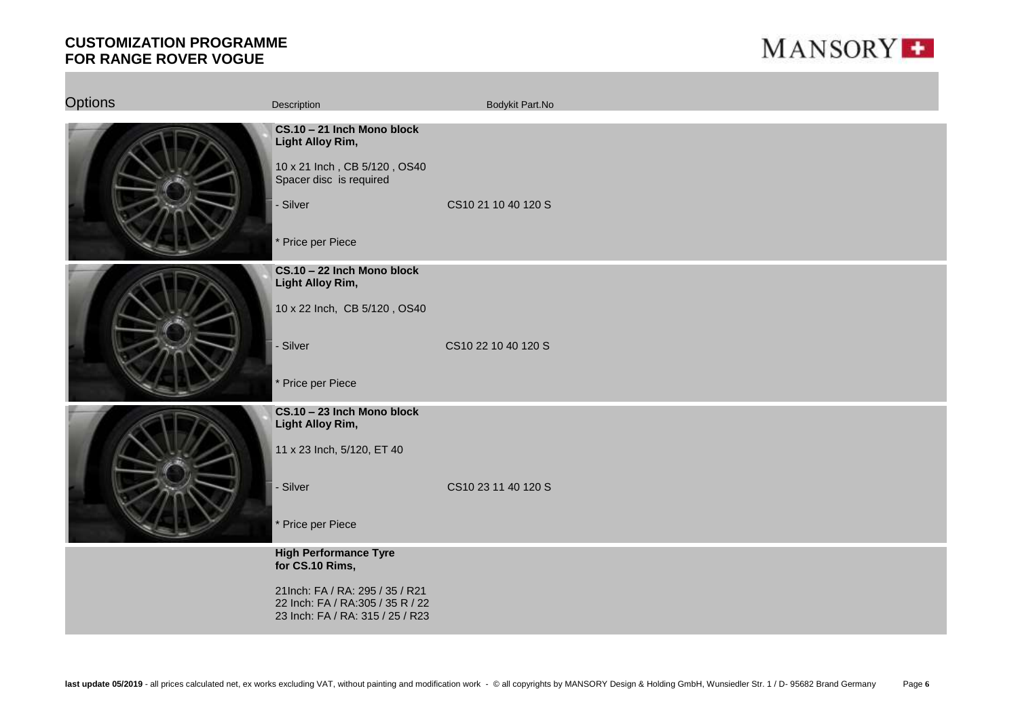

| <b>Options</b> | Description                                                                                                                                                | Bodykit Part.No     |
|----------------|------------------------------------------------------------------------------------------------------------------------------------------------------------|---------------------|
|                | CS.10 - 21 Inch Mono block<br><b>Light Alloy Rim,</b><br>10 x 21 Inch, CB 5/120, OS40<br>Spacer disc is required<br>- Silver<br>* Price per Piece          | CS10 21 10 40 120 S |
|                | CS.10 - 22 Inch Mono block<br>Light Alloy Rim,<br>10 x 22 Inch, CB 5/120, OS40<br>- Silver<br>* Price per Piece                                            | CS10 22 10 40 120 S |
|                | CS.10 - 23 Inch Mono block<br>Light Alloy Rim,<br>11 x 23 Inch, 5/120, ET 40<br>- Silver<br>* Price per Piece                                              | CS10 23 11 40 120 S |
|                | <b>High Performance Tyre</b><br>for CS.10 Rims,<br>21Inch: FA / RA: 295 / 35 / R21<br>22 Inch: FA / RA:305 / 35 R / 22<br>23 Inch: FA / RA: 315 / 25 / R23 |                     |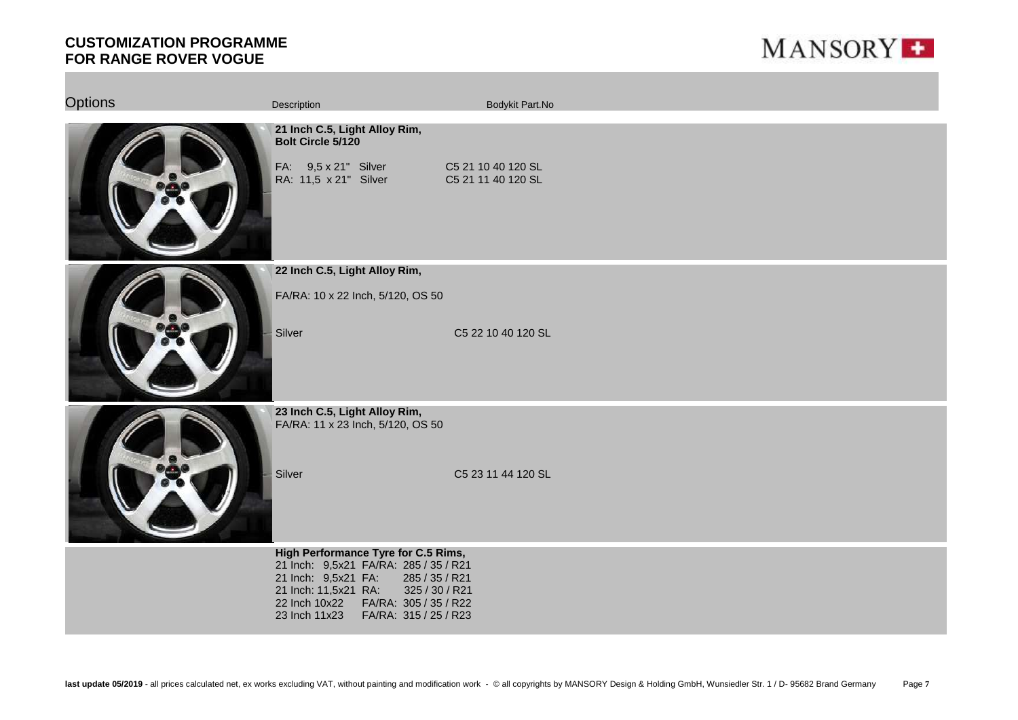

| <b>Options</b> | Description                                                                                                                                                                                                                                   | Bodykit Part.No                          |
|----------------|-----------------------------------------------------------------------------------------------------------------------------------------------------------------------------------------------------------------------------------------------|------------------------------------------|
|                | 21 Inch C.5, Light Alloy Rim,<br>Bolt Circle 5/120<br>FA: 9,5 x 21" Silver<br>RA: 11,5 x 21" Silver                                                                                                                                           | C5 21 10 40 120 SL<br>C5 21 11 40 120 SL |
|                | 22 Inch C.5, Light Alloy Rim,                                                                                                                                                                                                                 |                                          |
|                | FA/RA: 10 x 22 Inch, 5/120, OS 50                                                                                                                                                                                                             |                                          |
|                | Silver                                                                                                                                                                                                                                        | C5 22 10 40 120 SL                       |
|                | 23 Inch C.5, Light Alloy Rim,<br>FA/RA: 11 x 23 Inch, 5/120, OS 50                                                                                                                                                                            |                                          |
|                | Silver                                                                                                                                                                                                                                        | C5 23 11 44 120 SL                       |
|                | High Performance Tyre for C.5 Rims,<br>21 Inch: 9,5x21 FA/RA: 285 / 35 / R21<br>21 Inch: 9,5x21 FA:<br>285 / 35 / R21<br>325 / 30 / R21<br>21 Inch: 11,5x21 RA:<br>22 Inch 10x22 FA/RA: 305 / 35 / R22<br>23 Inch 11x23 FA/RA: 315 / 25 / R23 |                                          |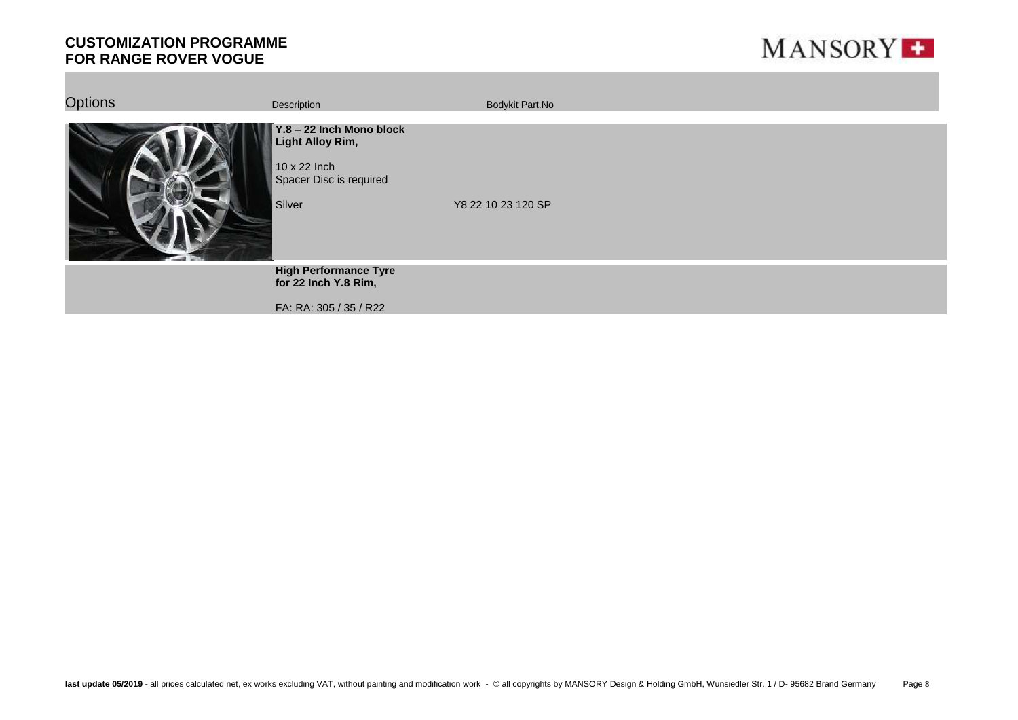

| <b>Options</b> | Description                                                                                              | Bodykit Part.No    |
|----------------|----------------------------------------------------------------------------------------------------------|--------------------|
|                | Y.8 - 22 Inch Mono block<br><b>Light Alloy Rim,</b><br>10 x 22 Inch<br>Spacer Disc is required<br>Silver | Y8 22 10 23 120 SP |
|                | <b>High Performance Tyre</b><br>for 22 Inch Y.8 Rim,<br>FA: RA: 305 / 35 / R22                           |                    |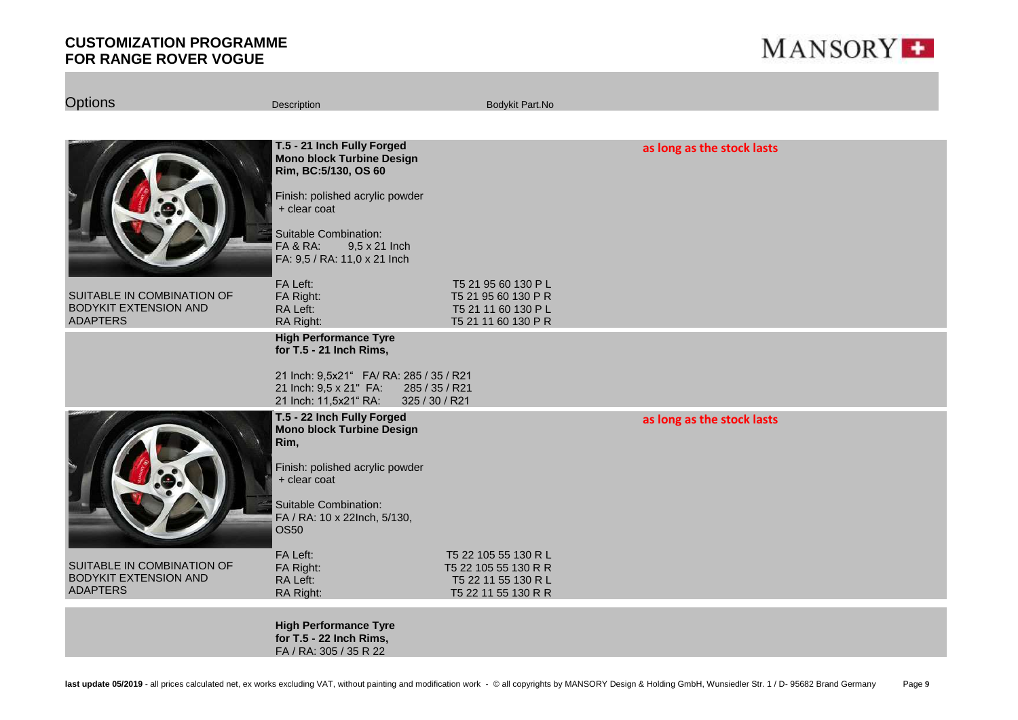

| <b>Options</b>                                                                | Description                                                                                                                                                                                                                     | Bodykit Part.No                                                                        |                            |
|-------------------------------------------------------------------------------|---------------------------------------------------------------------------------------------------------------------------------------------------------------------------------------------------------------------------------|----------------------------------------------------------------------------------------|----------------------------|
|                                                                               |                                                                                                                                                                                                                                 |                                                                                        |                            |
|                                                                               | T.5 - 21 Inch Fully Forged<br><b>Mono block Turbine Design</b><br>Rim, BC:5/130, OS 60<br>Finish: polished acrylic powder<br>+ clear coat<br>Suitable Combination:<br>9,5 x 21 Inch<br>FA & RA:<br>FA: 9,5 / RA: 11,0 x 21 Inch |                                                                                        | as long as the stock lasts |
| SUITABLE IN COMBINATION OF<br><b>BODYKIT EXTENSION AND</b><br><b>ADAPTERS</b> | FA Left:<br>FA Right:<br>RA Left:<br>RA Right:                                                                                                                                                                                  | T5 21 95 60 130 P L<br>T5 21 95 60 130 PR<br>T5 21 11 60 130 P L<br>T5 21 11 60 130 PR |                            |
|                                                                               | <b>High Performance Tyre</b><br>for T.5 - 21 Inch Rims,                                                                                                                                                                         |                                                                                        |                            |
|                                                                               | 21 Inch: 9,5x21" FA/ RA: 285 / 35 / R21<br>21 Inch: 9,5 x 21" FA:<br>21 Inch: 11,5x21" RA:<br>325 / 30 / R21                                                                                                                    | 285 / 35 / R21                                                                         |                            |
|                                                                               | T.5 - 22 Inch Fully Forged<br><b>Mono block Turbine Design</b><br>Rim,<br>Finish: polished acrylic powder<br>$+$ clear coat<br>Suitable Combination:                                                                            |                                                                                        | as long as the stock lasts |
| SUITABLE IN COMBINATION OF                                                    | FA / RA: 10 x 22Inch, 5/130,<br><b>OS50</b><br>FA Left:                                                                                                                                                                         | T5 22 105 55 130 R L                                                                   |                            |
| <b>BODYKIT EXTENSION AND</b><br><b>ADAPTERS</b>                               | FA Right:<br>RA Left:<br>RA Right:                                                                                                                                                                                              | T5 22 105 55 130 R R<br>T5 22 11 55 130 R L<br>T5 22 11 55 130 R R                     |                            |
|                                                                               | <b>High Performance Tyre</b><br>for T.5 - 22 Inch Rims,<br>FA / RA: 305 / 35 R 22                                                                                                                                               |                                                                                        |                            |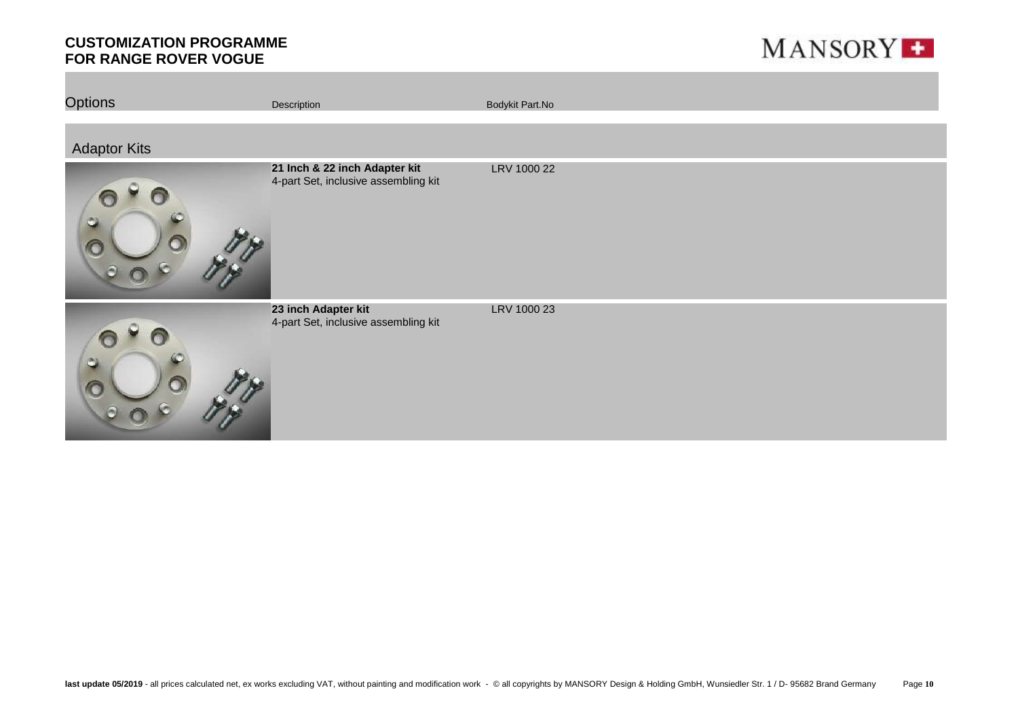

| <b>Options</b>      | Description                                                           | Bodykit Part.No |
|---------------------|-----------------------------------------------------------------------|-----------------|
| <b>Adaptor Kits</b> |                                                                       |                 |
| ٥                   | 21 Inch & 22 inch Adapter kit<br>4-part Set, inclusive assembling kit | LRV 1000 22     |
| ಲ                   | 23 inch Adapter kit<br>4-part Set, inclusive assembling kit           | LRV 1000 23     |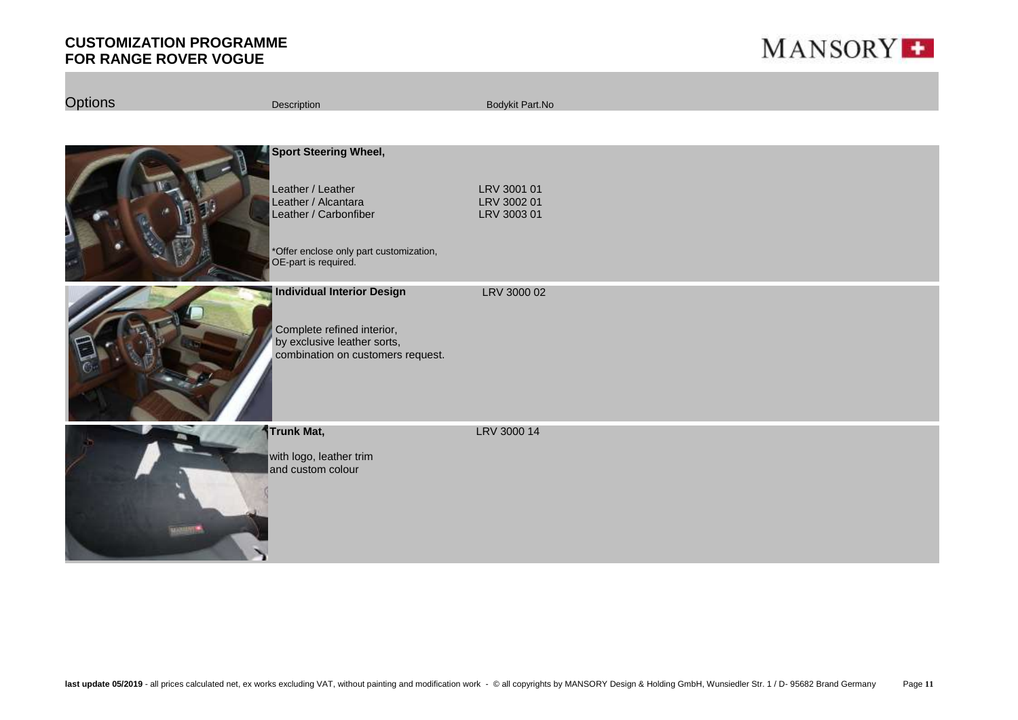

| <b>Options</b> | Description                                                                                                                                                          | Bodykit Part.No                           |
|----------------|----------------------------------------------------------------------------------------------------------------------------------------------------------------------|-------------------------------------------|
|                |                                                                                                                                                                      |                                           |
|                | <b>Sport Steering Wheel,</b><br>Leather / Leather<br>Leather / Alcantara<br>Leather / Carbonfiber<br>*Offer enclose only part customization,<br>OE-part is required. | LRV 3001 01<br>LRV 3002 01<br>LRV 3003 01 |
|                | <b>Individual Interior Design</b><br>Complete refined interior,<br>by exclusive leather sorts,<br>combination on customers request.                                  | LRV 3000 02                               |
| <b>MANTIN</b>  | Trunk Mat,<br>with logo, leather trim<br>and custom colour                                                                                                           | LRV 3000 14                               |